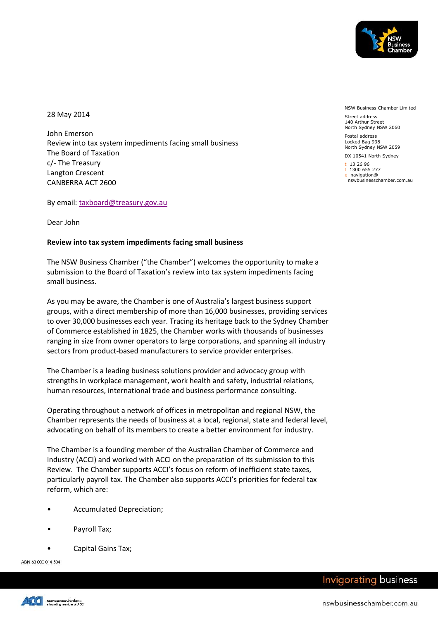

28 May 2014

John Emerson Review into tax system impediments facing small business The Board of Taxation c/- The Treasury Langton Crescent CANBERRA ACT 2600

By email: [taxboard@treasury.gov.au](mailto:taxboard@treasury.gov.au)

Dear John

## **Review into tax system impediments facing small business**

The NSW Business Chamber ("the Chamber") welcomes the opportunity to make a submission to the Board of Taxation's review into tax system impediments facing small business.

As you may be aware, the Chamber is one of Australia's largest business support groups, with a direct membership of more than 16,000 businesses, providing services to over 30,000 businesses each year. Tracing its heritage back to the Sydney Chamber of Commerce established in 1825, the Chamber works with thousands of businesses ranging in size from owner operators to large corporations, and spanning all industry sectors from product-based manufacturers to service provider enterprises.

The Chamber is a leading business solutions provider and advocacy group with strengths in workplace management, work health and safety, industrial relations, human resources, international trade and business performance consulting.

Operating throughout a network of offices in metropolitan and regional NSW, the Chamber represents the needs of business at a local, regional, state and federal level, advocating on behalf of its members to create a better environment for industry.

The Chamber is a founding member of the Australian Chamber of Commerce and Industry (ACCI) and worked with ACCI on the preparation of its submission to this Review. The Chamber supports ACCI's focus on reform of inefficient state taxes, particularly payroll tax. The Chamber also supports ACCI's priorities for federal tax reform, which are:

- Accumulated Depreciation;
- Payroll Tax;
- Capital Gains Tax;

ABN 63 000 014 504



t 13 26 96 f 1300 655 277

e navigation@ nswbusinesschamber.com.au

NSW Business Chamber Limited

Street address 140 Arthur Street North Sydney NSW 2060 Postal address Locked Bag 938 North Sydney NSW 2059 DX 10541 North Sydney